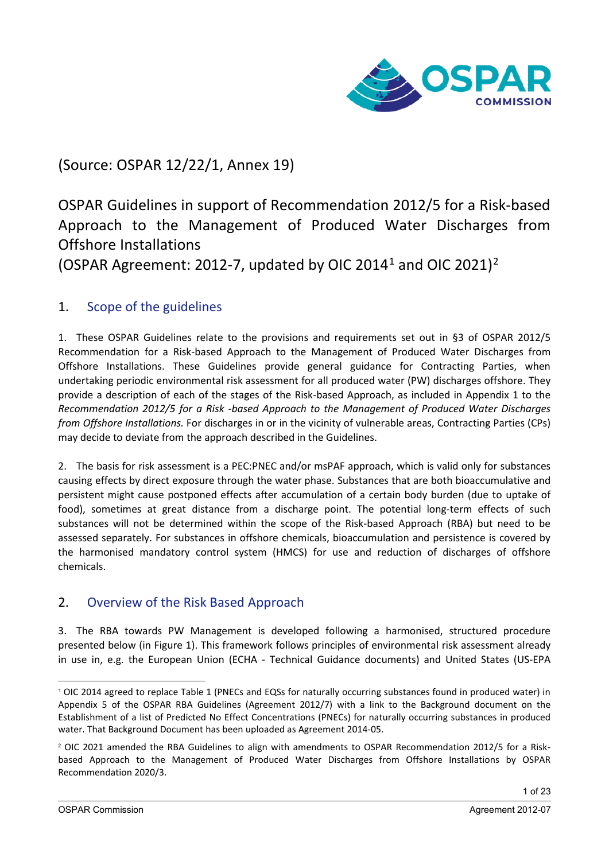

(Source: OSPAR 12/22/1, Annex 19)

OSPAR Guidelines in support of Recommendation 2012/5 for a Risk-based Approach to the Management of Produced Water Discharges from Offshore Installations

(OSPAR Agreement: 20[1](#page-0-0)[2](#page-0-1)-7, updated by OIC 2014<sup>1</sup> and OIC 2021)<sup>2</sup>

# 1. Scope of the guidelines

1. These OSPAR Guidelines relate to the provisions and requirements set out in §3 of OSPAR 2012/5 Recommendation for a Risk-based Approach to the Management of Produced Water Discharges from Offshore Installations. These Guidelines provide general guidance for Contracting Parties, when undertaking periodic environmental risk assessment for all produced water (PW) discharges offshore. They provide a description of each of the stages of the Risk-based Approach, as included in Appendix 1 to the *Recommendation 2012/5 for a Risk -based Approach to the Management of Produced Water Discharges from Offshore Installations.* For discharges in or in the vicinity of vulnerable areas, Contracting Parties (CPs) may decide to deviate from the approach described in the Guidelines.

2. The basis for risk assessment is a PEC:PNEC and/or msPAF approach, which is valid only for substances causing effects by direct exposure through the water phase. Substances that are both bioaccumulative and persistent might cause postponed effects after accumulation of a certain body burden (due to uptake of food), sometimes at great distance from a discharge point. The potential long-term effects of such substances will not be determined within the scope of the Risk-based Approach (RBA) but need to be assessed separately. For substances in offshore chemicals, bioaccumulation and persistence is covered by the harmonised mandatory control system (HMCS) for use and reduction of discharges of offshore chemicals.

# 2. Overview of the Risk Based Approach

3. The RBA towards PW Management is developed following a harmonised, structured procedure presented below (in Figure 1). This framework follows principles of environmental risk assessment already in use in, e.g. the European Union (ECHA - Technical Guidance documents) and United States (US-EPA

<span id="page-0-0"></span><sup>1</sup> OIC 2014 agreed to replace Table 1 (PNECs and EQSs for naturally occurring substances found in produced water) in Appendix 5 of the OSPAR RBA Guidelines (Agreement 2012/7) with a link to the Background document on the Establishment of a list of Predicted No Effect Concentrations (PNECs) for naturally occurring substances in produced water. That Background Document has been uploaded as Agreement 2014-05.

<span id="page-0-1"></span><sup>2</sup> OIC 2021 amended the RBA Guidelines to align with amendments to OSPAR Recommendation 2012/5 for a Riskbased Approach to the Management of Produced Water Discharges from Offshore Installations by OSPAR Recommendation 2020/3.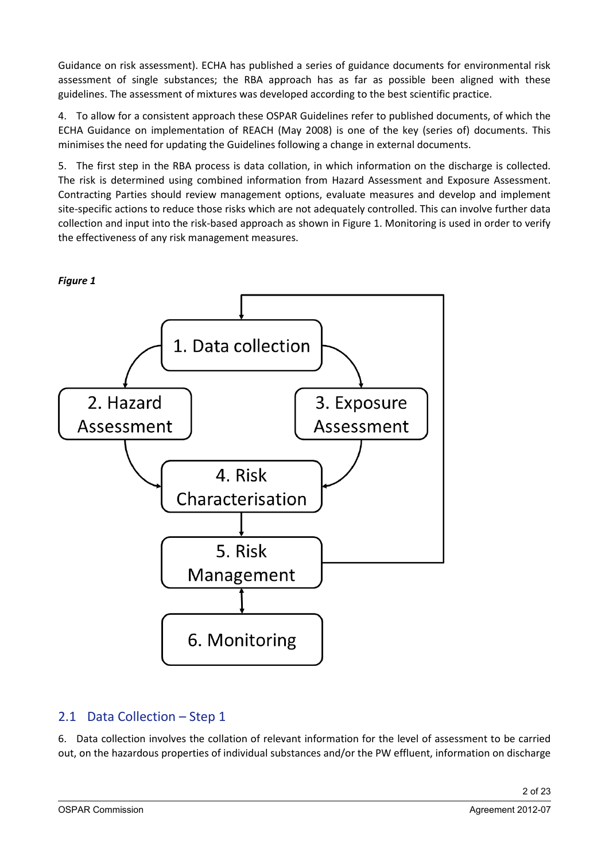Guidance on risk assessment). ECHA has published a series of guidance documents for environmental risk assessment of single substances; the RBA approach has as far as possible been aligned with these guidelines. The assessment of mixtures was developed according to the best scientific practice.

4. To allow for a consistent approach these OSPAR Guidelines refer to published documents, of which the ECHA Guidance on implementation of REACH (May 2008) is one of the key (series of) documents. This minimises the need for updating the Guidelines following a change in external documents.

5. The first step in the RBA process is data collation, in which information on the discharge is collected. The risk is determined using combined information from Hazard Assessment and Exposure Assessment. Contracting Parties should review management options, evaluate measures and develop and implement site-specific actions to reduce those risks which are not adequately controlled. This can involve further data collection and input into the risk-based approach as shown in Figure 1. Monitoring is used in order to verify the effectiveness of any risk management measures.



# 2.1 Data Collection – Step 1

6. Data collection involves the collation of relevant information for the level of assessment to be carried out, on the hazardous properties of individual substances and/or the PW effluent, information on discharge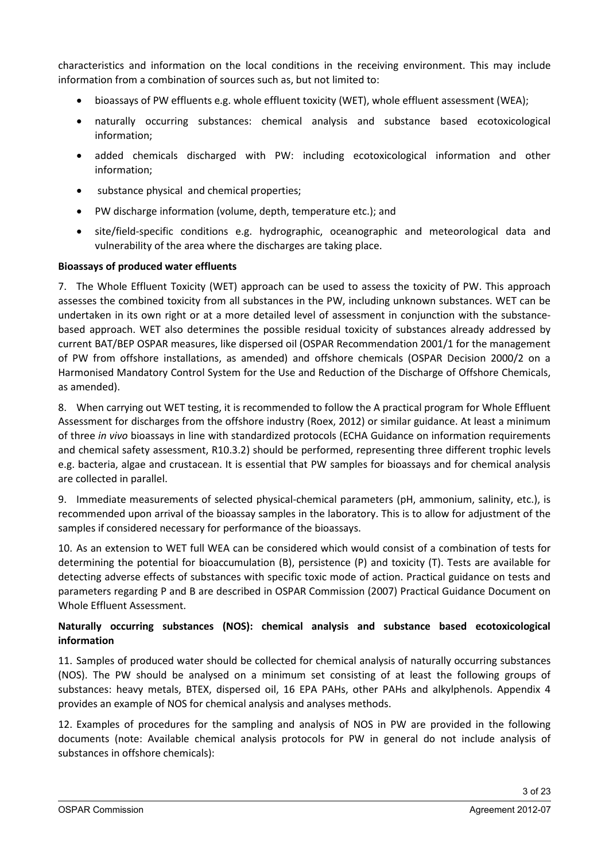characteristics and information on the local conditions in the receiving environment. This may include information from a combination of sources such as, but not limited to:

- bioassays of PW effluents e.g. whole effluent toxicity (WET), whole effluent assessment (WEA);
- naturally occurring substances: chemical analysis and substance based ecotoxicological information;
- added chemicals discharged with PW: including ecotoxicological information and other information;
- substance physical and chemical properties;
- PW discharge information (volume, depth, temperature etc.); and
- site/field-specific conditions e.g. hydrographic, oceanographic and meteorological data and vulnerability of the area where the discharges are taking place.

#### **Bioassays of produced water effluents**

7. The Whole Effluent Toxicity (WET) approach can be used to assess the toxicity of PW. This approach assesses the combined toxicity from all substances in the PW, including unknown substances. WET can be undertaken in its own right or at a more detailed level of assessment in conjunction with the substancebased approach. WET also determines the possible residual toxicity of substances already addressed by current BAT/BEP OSPAR measures, like dispersed oil (OSPAR Recommendation 2001/1 for the management of PW from offshore installations, as amended) and offshore chemicals (OSPAR Decision 2000/2 on a Harmonised Mandatory Control System for the Use and Reduction of the Discharge of Offshore Chemicals, as amended).

8. When carrying out WET testing, it is recommended to follow the A practical program for Whole Effluent Assessment for discharges from the offshore industry (Roex, 2012) or similar guidance. At least a minimum of three *in vivo* bioassays in line with standardized protocols (ECHA Guidance on information requirements and chemical safety assessment, R10.3.2) should be performed, representing three different trophic levels e.g. bacteria, algae and crustacean. It is essential that PW samples for bioassays and for chemical analysis are collected in parallel.

9. Immediate measurements of selected physical-chemical parameters (pH, ammonium, salinity, etc.), is recommended upon arrival of the bioassay samples in the laboratory. This is to allow for adjustment of the samples if considered necessary for performance of the bioassays.

10. As an extension to WET full WEA can be considered which would consist of a combination of tests for determining the potential for bioaccumulation (B), persistence (P) and toxicity (T). Tests are available for detecting adverse effects of substances with specific toxic mode of action. Practical guidance on tests and parameters regarding P and B are described in OSPAR Commission (2007) Practical Guidance Document on Whole Effluent Assessment.

#### **Naturally occurring substances (NOS): chemical analysis and substance based ecotoxicological information**

11. Samples of produced water should be collected for chemical analysis of naturally occurring substances (NOS). The PW should be analysed on a minimum set consisting of at least the following groups of substances: heavy metals, BTEX, dispersed oil, 16 EPA PAHs, other PAHs and alkylphenols. Appendix 4 provides an example of NOS for chemical analysis and analyses methods.

12. Examples of procedures for the sampling and analysis of NOS in PW are provided in the following documents (note: Available chemical analysis protocols for PW in general do not include analysis of substances in offshore chemicals):

3 of 23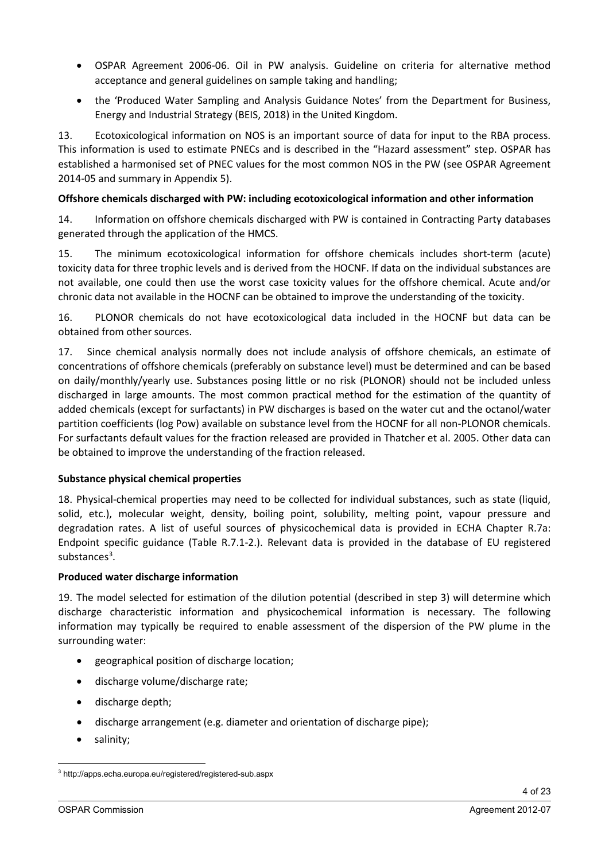- OSPAR Agreement 2006-06. Oil in PW analysis. Guideline on criteria for alternative method acceptance and general guidelines on sample taking and handling;
- the 'Produced Water Sampling and Analysis Guidance Notes' from the Department for Business, Energy and Industrial Strategy (BEIS, 2018) in the United Kingdom.

13. Ecotoxicological information on NOS is an important source of data for input to the RBA process. This information is used to estimate PNECs and is described in the "Hazard assessment" step. OSPAR has established a harmonised set of PNEC values for the most common NOS in the PW (see OSPAR Agreement 2014-05 and summary in Appendix 5).

### **Offshore chemicals discharged with PW: including ecotoxicological information and other information**

14. Information on offshore chemicals discharged with PW is contained in Contracting Party databases generated through the application of the HMCS.

15. The minimum ecotoxicological information for offshore chemicals includes short-term (acute) toxicity data for three trophic levels and is derived from the HOCNF. If data on the individual substances are not available, one could then use the worst case toxicity values for the offshore chemical. Acute and/or chronic data not available in the HOCNF can be obtained to improve the understanding of the toxicity.

16. PLONOR chemicals do not have ecotoxicological data included in the HOCNF but data can be obtained from other sources.

17. Since chemical analysis normally does not include analysis of offshore chemicals, an estimate of concentrations of offshore chemicals (preferably on substance level) must be determined and can be based on daily/monthly/yearly use. Substances posing little or no risk (PLONOR) should not be included unless discharged in large amounts. The most common practical method for the estimation of the quantity of added chemicals (except for surfactants) in PW discharges is based on the water cut and the octanol/water partition coefficients (log Pow) available on substance level from the HOCNF for all non-PLONOR chemicals. For surfactants default values for the fraction released are provided in Thatcher et al. 2005. Other data can be obtained to improve the understanding of the fraction released.

## **Substance physical chemical properties**

18. Physical-chemical properties may need to be collected for individual substances, such as state (liquid, solid, etc.), molecular weight, density, boiling point, solubility, melting point, vapour pressure and degradation rates. A list of useful sources of physicochemical data is provided in ECHA Chapter R.7a: Endpoint specific guidance (Table R.7.1-2.). Relevant data is provided in the database of EU registered substances<sup>[3](#page-3-0)</sup>.

#### **Produced water discharge information**

19. The model selected for estimation of the dilution potential (described in step 3) will determine which discharge characteristic information and physicochemical information is necessary. The following information may typically be required to enable assessment of the dispersion of the PW plume in the surrounding water:

- geographical position of discharge location;
- discharge volume/discharge rate;
- discharge depth;
- discharge arrangement (e.g. diameter and orientation of discharge pipe);
- salinity;

<span id="page-3-0"></span><sup>3</sup> http://apps.echa.europa.eu/registered/registered-sub.aspx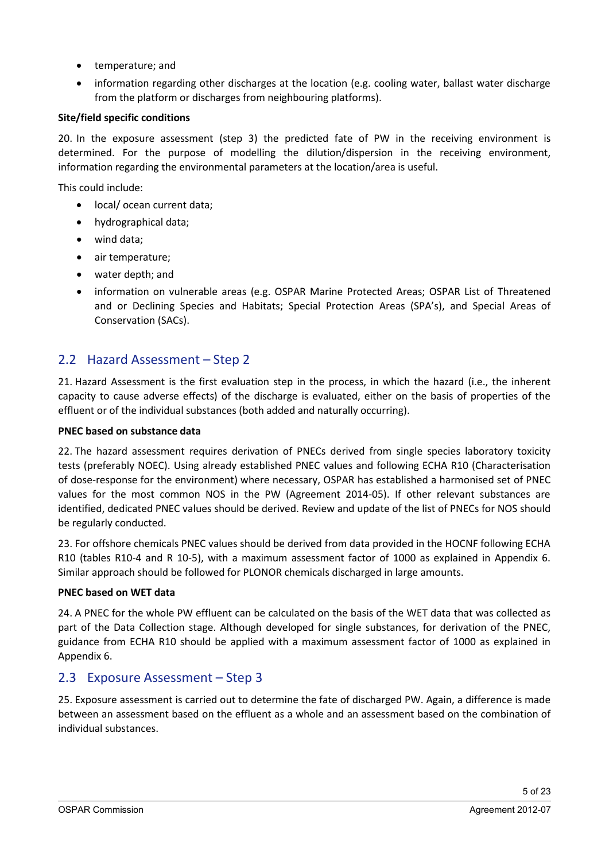- temperature; and
- information regarding other discharges at the location (e.g. cooling water, ballast water discharge from the platform or discharges from neighbouring platforms).

#### **Site/field specific conditions**

20. In the exposure assessment (step 3) the predicted fate of PW in the receiving environment is determined. For the purpose of modelling the dilution/dispersion in the receiving environment, information regarding the environmental parameters at the location/area is useful.

This could include:

- local/ ocean current data;
- hydrographical data;
- wind data;
- air temperature;
- water depth; and
- information on vulnerable areas (e.g. OSPAR Marine Protected Areas; OSPAR List of Threatened and or Declining Species and Habitats; Special Protection Areas (SPA's), and Special Areas of Conservation (SACs).

# 2.2 Hazard Assessment – Step 2

21. Hazard Assessment is the first evaluation step in the process, in which the hazard (i.e., the inherent capacity to cause adverse effects) of the discharge is evaluated, either on the basis of properties of the effluent or of the individual substances (both added and naturally occurring).

#### **PNEC based on substance data**

22. The hazard assessment requires derivation of PNECs derived from single species laboratory toxicity tests (preferably NOEC). Using already established PNEC values and following ECHA R10 (Characterisation of dose-response for the environment) where necessary, OSPAR has established a harmonised set of PNEC values for the most common NOS in the PW (Agreement 2014-05). If other relevant substances are identified, dedicated PNEC values should be derived. Review and update of the list of PNECs for NOS should be regularly conducted.

23. For offshore chemicals PNEC values should be derived from data provided in the HOCNF following ECHA R10 (tables R10-4 and R 10-5), with a maximum assessment factor of 1000 as explained in Appendix 6. Similar approach should be followed for PLONOR chemicals discharged in large amounts.

#### **PNEC based on WET data**

24. A PNEC for the whole PW effluent can be calculated on the basis of the WET data that was collected as part of the Data Collection stage. Although developed for single substances, for derivation of the PNEC, guidance from ECHA R10 should be applied with a maximum assessment factor of 1000 as explained in Appendix 6.

## 2.3 Exposure Assessment – Step 3

25. Exposure assessment is carried out to determine the fate of discharged PW. Again, a difference is made between an assessment based on the effluent as a whole and an assessment based on the combination of individual substances.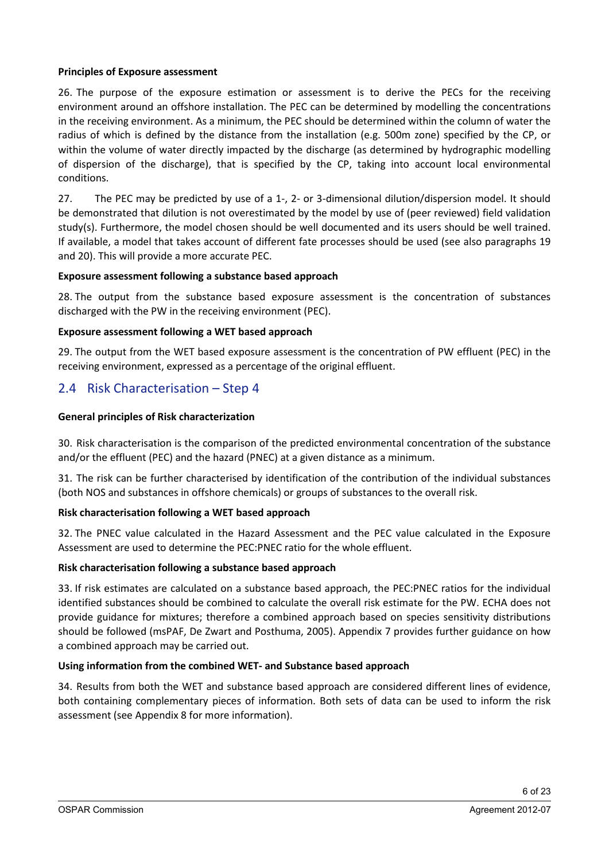#### **Principles of Exposure assessment**

26. The purpose of the exposure estimation or assessment is to derive the PECs for the receiving environment around an offshore installation. The PEC can be determined by modelling the concentrations in the receiving environment. As a minimum, the PEC should be determined within the column of water the radius of which is defined by the distance from the installation (e.g. 500m zone) specified by the CP, or within the volume of water directly impacted by the discharge (as determined by hydrographic modelling of dispersion of the discharge), that is specified by the CP, taking into account local environmental conditions.

27. The PEC may be predicted by use of a 1-, 2- or 3-dimensional dilution/dispersion model. It should be demonstrated that dilution is not overestimated by the model by use of (peer reviewed) field validation study(s). Furthermore, the model chosen should be well documented and its users should be well trained. If available, a model that takes account of different fate processes should be used (see also paragraphs 19 and 20). This will provide a more accurate PEC.

#### **Exposure assessment following a substance based approach**

28. The output from the substance based exposure assessment is the concentration of substances discharged with the PW in the receiving environment (PEC).

#### **Exposure assessment following a WET based approach**

29. The output from the WET based exposure assessment is the concentration of PW effluent (PEC) in the receiving environment, expressed as a percentage of the original effluent.

## 2.4 Risk Characterisation – Step 4

#### **General principles of Risk characterization**

30. Risk characterisation is the comparison of the predicted environmental concentration of the substance and/or the effluent (PEC) and the hazard (PNEC) at a given distance as a minimum.

31. The risk can be further characterised by identification of the contribution of the individual substances (both NOS and substances in offshore chemicals) or groups of substances to the overall risk.

#### **Risk characterisation following a WET based approach**

32. The PNEC value calculated in the Hazard Assessment and the PEC value calculated in the Exposure Assessment are used to determine the PEC:PNEC ratio for the whole effluent.

#### **Risk characterisation following a substance based approach**

33. If risk estimates are calculated on a substance based approach, the PEC:PNEC ratios for the individual identified substances should be combined to calculate the overall risk estimate for the PW. ECHA does not provide guidance for mixtures; therefore a combined approach based on species sensitivity distributions should be followed (msPAF, De Zwart and Posthuma, 2005). Appendix 7 provides further guidance on how a combined approach may be carried out.

#### **Using information from the combined WET- and Substance based approach**

34. Results from both the WET and substance based approach are considered different lines of evidence, both containing complementary pieces of information. Both sets of data can be used to inform the risk assessment (see Appendix 8 for more information).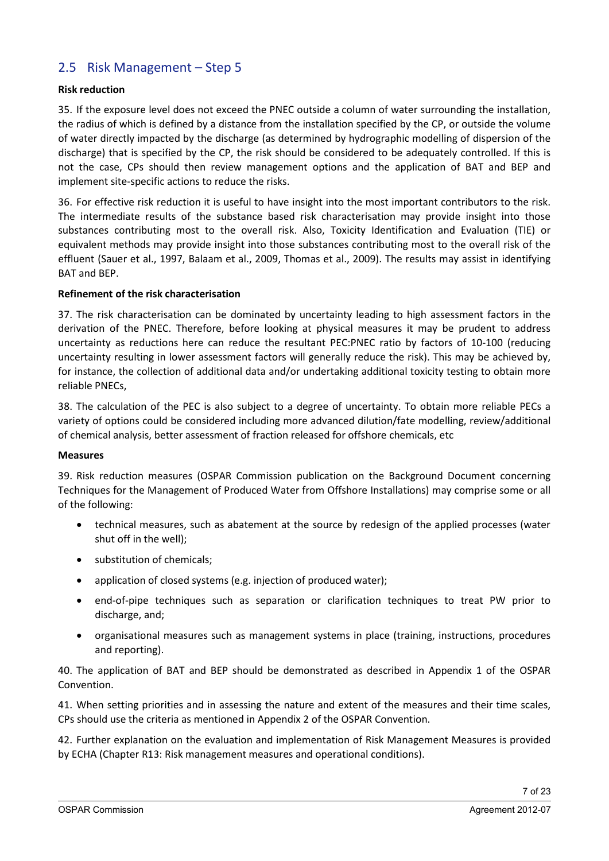# 2.5 Risk Management – Step 5

#### **Risk reduction**

35. If the exposure level does not exceed the PNEC outside a column of water surrounding the installation, the radius of which is defined by a distance from the installation specified by the CP, or outside the volume of water directly impacted by the discharge (as determined by hydrographic modelling of dispersion of the discharge) that is specified by the CP, the risk should be considered to be adequately controlled. If this is not the case, CPs should then review management options and the application of BAT and BEP and implement site-specific actions to reduce the risks.

36. For effective risk reduction it is useful to have insight into the most important contributors to the risk. The intermediate results of the substance based risk characterisation may provide insight into those substances contributing most to the overall risk. Also, Toxicity Identification and Evaluation (TIE) or equivalent methods may provide insight into those substances contributing most to the overall risk of the effluent (Sauer et al., 1997, Balaam et al., 2009, Thomas et al., 2009). The results may assist in identifying BAT and BEP.

#### **Refinement of the risk characterisation**

37. The risk characterisation can be dominated by uncertainty leading to high assessment factors in the derivation of the PNEC. Therefore, before looking at physical measures it may be prudent to address uncertainty as reductions here can reduce the resultant PEC:PNEC ratio by factors of 10-100 (reducing uncertainty resulting in lower assessment factors will generally reduce the risk). This may be achieved by, for instance, the collection of additional data and/or undertaking additional toxicity testing to obtain more reliable PNECs,

38. The calculation of the PEC is also subject to a degree of uncertainty. To obtain more reliable PECs a variety of options could be considered including more advanced dilution/fate modelling, review/additional of chemical analysis, better assessment of fraction released for offshore chemicals, etc

#### **Measures**

39. Risk reduction measures (OSPAR Commission publication on the Background Document concerning Techniques for the Management of Produced Water from Offshore Installations) may comprise some or all of the following:

- technical measures, such as abatement at the source by redesign of the applied processes (water shut off in the well);
- substitution of chemicals;
- application of closed systems (e.g. injection of produced water);
- end-of-pipe techniques such as separation or clarification techniques to treat PW prior to discharge, and;
- organisational measures such as management systems in place (training, instructions, procedures and reporting).

40. The application of BAT and BEP should be demonstrated as described in Appendix 1 of the OSPAR Convention.

41. When setting priorities and in assessing the nature and extent of the measures and their time scales, CPs should use the criteria as mentioned in Appendix 2 of the OSPAR Convention.

42. Further explanation on the evaluation and implementation of Risk Management Measures is provided by ECHA (Chapter R13: Risk management measures and operational conditions).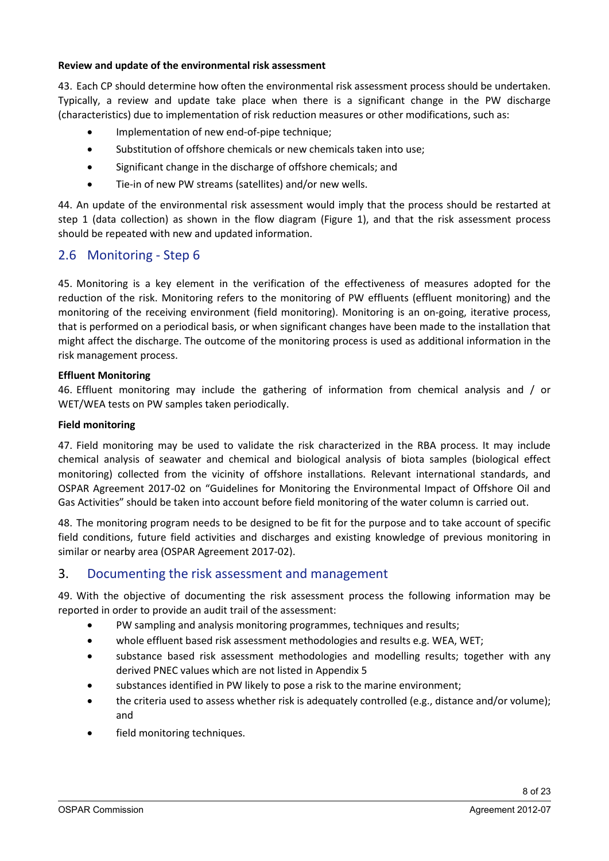#### **Review and update of the environmental risk assessment**

43. Each CP should determine how often the environmental risk assessment process should be undertaken. Typically, a review and update take place when there is a significant change in the PW discharge (characteristics) due to implementation of risk reduction measures or other modifications, such as:

- Implementation of new end-of-pipe technique;
- Substitution of offshore chemicals or new chemicals taken into use;
- Significant change in the discharge of offshore chemicals; and
- Tie-in of new PW streams (satellites) and/or new wells.

44. An update of the environmental risk assessment would imply that the process should be restarted at step 1 (data collection) as shown in the flow diagram (Figure 1), and that the risk assessment process should be repeated with new and updated information.

## 2.6 Monitoring - Step 6

45. Monitoring is a key element in the verification of the effectiveness of measures adopted for the reduction of the risk. Monitoring refers to the monitoring of PW effluents (effluent monitoring) and the monitoring of the receiving environment (field monitoring). Monitoring is an on-going, iterative process, that is performed on a periodical basis, or when significant changes have been made to the installation that might affect the discharge. The outcome of the monitoring process is used as additional information in the risk management process.

#### **Effluent Monitoring**

46. Effluent monitoring may include the gathering of information from chemical analysis and / or WET/WEA tests on PW samples taken periodically.

#### **Field monitoring**

47. Field monitoring may be used to validate the risk characterized in the RBA process. It may include chemical analysis of seawater and chemical and biological analysis of biota samples (biological effect monitoring) collected from the vicinity of offshore installations. Relevant international standards, and OSPAR Agreement 2017-02 on "Guidelines for Monitoring the Environmental Impact of Offshore Oil and Gas Activities" should be taken into account before field monitoring of the water column is carried out.

48. The monitoring program needs to be designed to be fit for the purpose and to take account of specific field conditions, future field activities and discharges and existing knowledge of previous monitoring in similar or nearby area (OSPAR Agreement 2017-02).

## 3. Documenting the risk assessment and management

49. With the objective of documenting the risk assessment process the following information may be reported in order to provide an audit trail of the assessment:

- PW sampling and analysis monitoring programmes, techniques and results;
- whole effluent based risk assessment methodologies and results e.g. WEA, WET;
- substance based risk assessment methodologies and modelling results; together with any derived PNEC values which are not listed in Appendix 5
- substances identified in PW likely to pose a risk to the marine environment;
- the criteria used to assess whether risk is adequately controlled (e.g., distance and/or volume); and
- field monitoring techniques.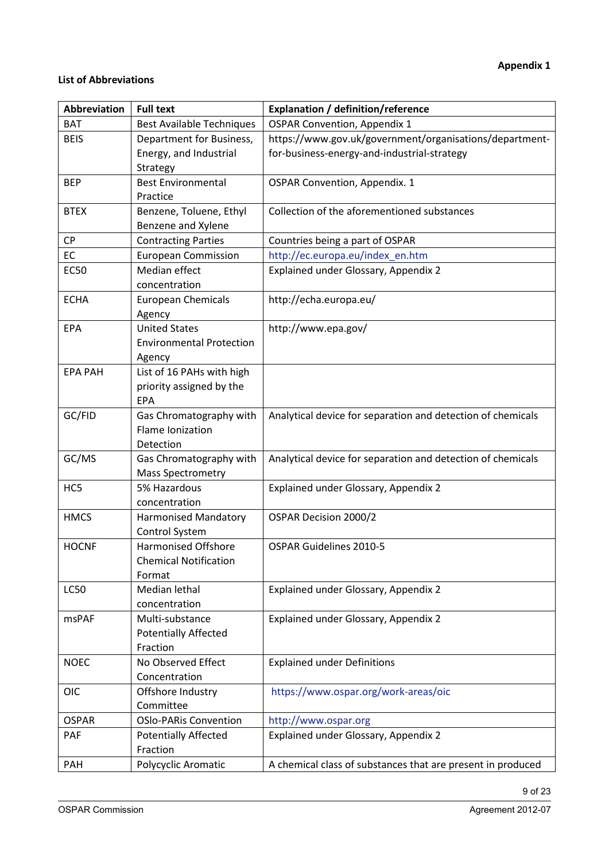### **List of Abbreviations**

| <b>Abbreviation</b> | <b>Full text</b>                                    | <b>Explanation / definition/reference</b>                   |
|---------------------|-----------------------------------------------------|-------------------------------------------------------------|
| <b>BAT</b>          | <b>Best Available Techniques</b>                    | <b>OSPAR Convention, Appendix 1</b>                         |
| <b>BEIS</b>         | Department for Business,                            | https://www.gov.uk/government/organisations/department-     |
|                     | Energy, and Industrial                              | for-business-energy-and-industrial-strategy                 |
|                     | Strategy                                            |                                                             |
| <b>BEP</b>          | <b>Best Environmental</b>                           | <b>OSPAR Convention, Appendix. 1</b>                        |
|                     | Practice                                            |                                                             |
| <b>BTEX</b>         | Benzene, Toluene, Ethyl                             | Collection of the aforementioned substances                 |
|                     | Benzene and Xylene                                  |                                                             |
| <b>CP</b>           | <b>Contracting Parties</b>                          | Countries being a part of OSPAR                             |
| EC                  | <b>European Commission</b>                          | http://ec.europa.eu/index_en.htm                            |
| <b>EC50</b>         | Median effect                                       | Explained under Glossary, Appendix 2                        |
|                     | concentration                                       |                                                             |
| <b>ECHA</b>         | <b>European Chemicals</b>                           | http://echa.europa.eu/                                      |
|                     | Agency                                              |                                                             |
| <b>EPA</b>          | <b>United States</b>                                | http://www.epa.gov/                                         |
|                     | <b>Environmental Protection</b>                     |                                                             |
|                     | Agency                                              |                                                             |
| <b>EPA PAH</b>      | List of 16 PAHs with high                           |                                                             |
|                     | priority assigned by the                            |                                                             |
|                     | <b>EPA</b>                                          |                                                             |
| GC/FID              | Gas Chromatography with                             | Analytical device for separation and detection of chemicals |
|                     | Flame Ionization                                    |                                                             |
| GC/MS               | Detection                                           |                                                             |
|                     | Gas Chromatography with<br><b>Mass Spectrometry</b> | Analytical device for separation and detection of chemicals |
| HC5                 | 5% Hazardous                                        | Explained under Glossary, Appendix 2                        |
|                     | concentration                                       |                                                             |
| <b>HMCS</b>         | <b>Harmonised Mandatory</b>                         | OSPAR Decision 2000/2                                       |
|                     | Control System                                      |                                                             |
| <b>HOCNF</b>        | <b>Harmonised Offshore</b>                          | OSPAR Guidelines 2010-5                                     |
|                     | <b>Chemical Notification</b>                        |                                                             |
|                     | Format                                              |                                                             |
| <b>LC50</b>         | Median lethal                                       | Explained under Glossary, Appendix 2                        |
|                     | concentration                                       |                                                             |
| <b>msPAF</b>        | Multi-substance                                     | Explained under Glossary, Appendix 2                        |
|                     | <b>Potentially Affected</b>                         |                                                             |
|                     | Fraction                                            |                                                             |
| <b>NOEC</b>         | No Observed Effect                                  | <b>Explained under Definitions</b>                          |
|                     | Concentration                                       |                                                             |
| <b>OIC</b>          | Offshore Industry                                   | https://www.ospar.org/work-areas/oic                        |
|                     | Committee                                           |                                                             |
| <b>OSPAR</b>        | <b>OSIo-PARis Convention</b>                        | http://www.ospar.org                                        |
| PAF                 | <b>Potentially Affected</b>                         | Explained under Glossary, Appendix 2                        |
|                     | Fraction                                            |                                                             |
| <b>PAH</b>          | Polycyclic Aromatic                                 | A chemical class of substances that are present in produced |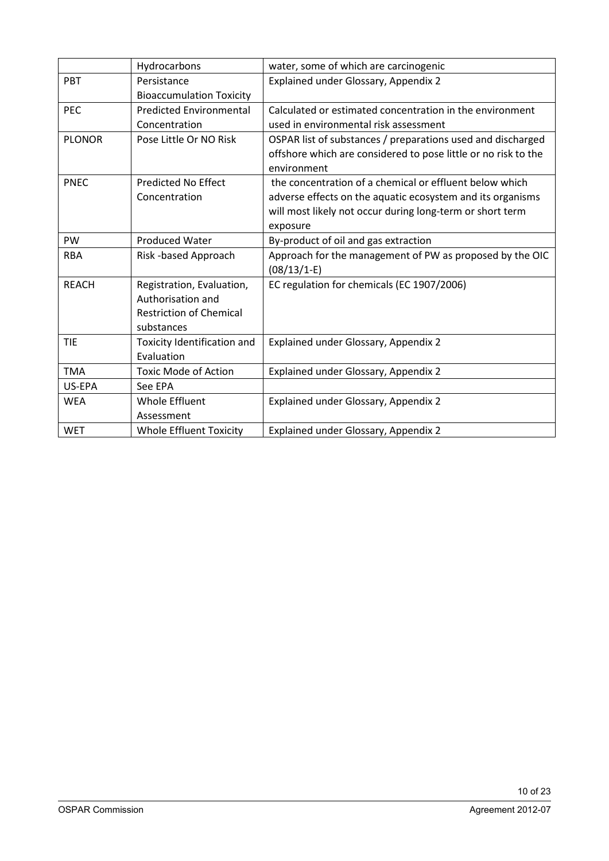|               | Hydrocarbons                       | water, some of which are carcinogenic                          |
|---------------|------------------------------------|----------------------------------------------------------------|
| <b>PBT</b>    | Persistance                        | Explained under Glossary, Appendix 2                           |
|               | <b>Bioaccumulation Toxicity</b>    |                                                                |
| <b>PEC</b>    | <b>Predicted Environmental</b>     | Calculated or estimated concentration in the environment       |
|               | Concentration                      | used in environmental risk assessment                          |
| <b>PLONOR</b> | Pose Little Or NO Risk             | OSPAR list of substances / preparations used and discharged    |
|               |                                    | offshore which are considered to pose little or no risk to the |
|               |                                    | environment                                                    |
| <b>PNEC</b>   | <b>Predicted No Effect</b>         | the concentration of a chemical or effluent below which        |
|               | Concentration                      | adverse effects on the aquatic ecosystem and its organisms     |
|               |                                    | will most likely not occur during long-term or short term      |
|               |                                    | exposure                                                       |
| PW            | <b>Produced Water</b>              | By-product of oil and gas extraction                           |
| <b>RBA</b>    | Risk -based Approach               | Approach for the management of PW as proposed by the OIC       |
|               |                                    | $(08/13/1-E)$                                                  |
| <b>REACH</b>  | Registration, Evaluation,          | EC regulation for chemicals (EC 1907/2006)                     |
|               | Authorisation and                  |                                                                |
|               | <b>Restriction of Chemical</b>     |                                                                |
|               | substances                         |                                                                |
| <b>TIE</b>    | <b>Toxicity Identification and</b> | Explained under Glossary, Appendix 2                           |
|               | Evaluation                         |                                                                |
| <b>TMA</b>    | <b>Toxic Mode of Action</b>        | Explained under Glossary, Appendix 2                           |
| US-EPA        | See EPA                            |                                                                |
| <b>WEA</b>    | <b>Whole Effluent</b>              | Explained under Glossary, Appendix 2                           |
|               | Assessment                         |                                                                |
| <b>WET</b>    | <b>Whole Effluent Toxicity</b>     | Explained under Glossary, Appendix 2                           |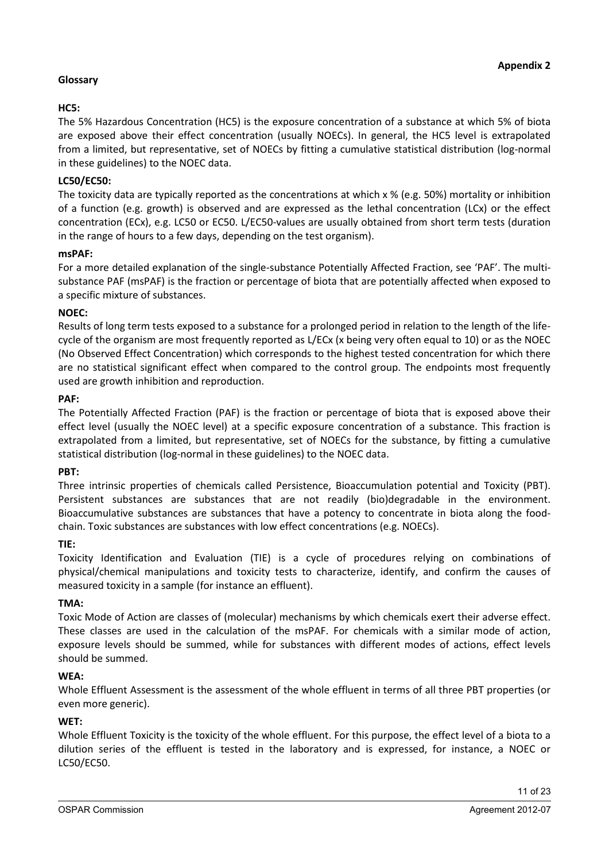## **Glossary**

## **HC5:**

The 5% Hazardous Concentration (HC5) is the exposure concentration of a substance at which 5% of biota are exposed above their effect concentration (usually NOECs). In general, the HC5 level is extrapolated from a limited, but representative, set of NOECs by fitting a cumulative statistical distribution (log-normal in these guidelines) to the NOEC data.

### **LC50/EC50:**

The toxicity data are typically reported as the concentrations at which x % (e.g. 50%) mortality or inhibition of a function (e.g. growth) is observed and are expressed as the lethal concentration (LCx) or the effect concentration (ECx), e.g. LC50 or EC50. L/EC50-values are usually obtained from short term tests (duration in the range of hours to a few days, depending on the test organism).

#### **msPAF:**

For a more detailed explanation of the single-substance Potentially Affected Fraction, see 'PAF'. The multisubstance PAF (msPAF) is the fraction or percentage of biota that are potentially affected when exposed to a specific mixture of substances.

#### **NOEC:**

Results of long term tests exposed to a substance for a prolonged period in relation to the length of the lifecycle of the organism are most frequently reported as L/ECx (x being very often equal to 10) or as the NOEC (No Observed Effect Concentration) which corresponds to the highest tested concentration for which there are no statistical significant effect when compared to the control group. The endpoints most frequently used are growth inhibition and reproduction.

#### **PAF:**

The Potentially Affected Fraction (PAF) is the fraction or percentage of biota that is exposed above their effect level (usually the NOEC level) at a specific exposure concentration of a substance. This fraction is extrapolated from a limited, but representative, set of NOECs for the substance, by fitting a cumulative statistical distribution (log-normal in these guidelines) to the NOEC data.

#### **PBT:**

Three intrinsic properties of chemicals called Persistence, Bioaccumulation potential and Toxicity (PBT). Persistent substances are substances that are not readily (bio)degradable in the environment. Bioaccumulative substances are substances that have a potency to concentrate in biota along the foodchain. Toxic substances are substances with low effect concentrations (e.g. NOECs).

#### **TIE:**

Toxicity Identification and Evaluation (TIE) is a cycle of procedures relying on combinations of physical/chemical manipulations and toxicity tests to characterize, identify, and confirm the causes of measured toxicity in a sample (for instance an effluent).

#### **TMA:**

Toxic Mode of Action are classes of (molecular) mechanisms by which chemicals exert their adverse effect. These classes are used in the calculation of the msPAF. For chemicals with a similar mode of action, exposure levels should be summed, while for substances with different modes of actions, effect levels should be summed.

#### **WEA:**

Whole Effluent Assessment is the assessment of the whole effluent in terms of all three PBT properties (or even more generic).

#### **WET:**

Whole Effluent Toxicity is the toxicity of the whole effluent. For this purpose, the effect level of a biota to a dilution series of the effluent is tested in the laboratory and is expressed, for instance, a NOEC or LC50/EC50.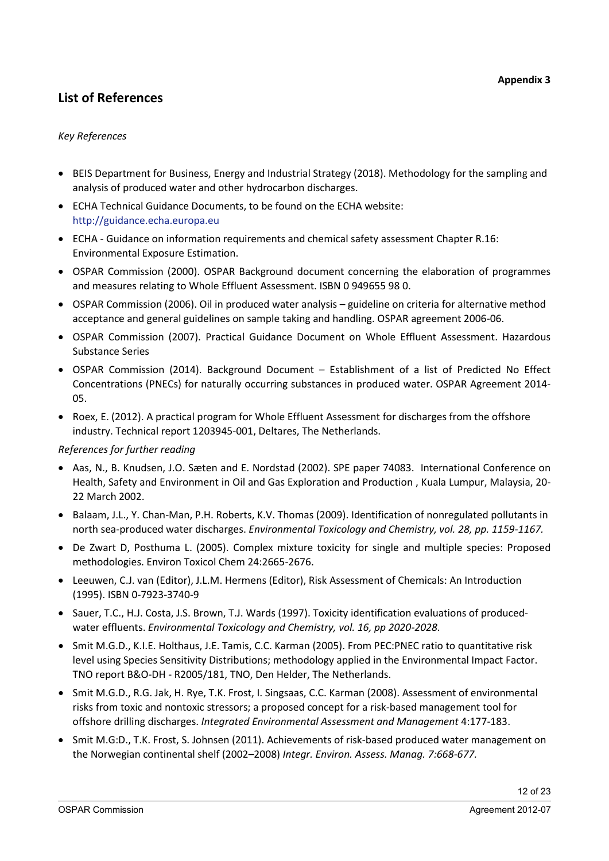# **List of References**

### *Key References*

- BEIS Department for Business, Energy and Industrial Strategy (2018). Methodology for the sampling and analysis of produced water and other hydrocarbon discharges.
- ECHA Technical Guidance Documents, to be found on the ECHA website: [http://guidance.echa.europa.eu](http://guidance.echa.europa.eu/)
- ECHA Guidance on information requirements and chemical safety assessment Chapter R.16: Environmental Exposure Estimation.
- OSPAR Commission (2000). OSPAR Background document concerning the elaboration of programmes and measures relating to Whole Effluent Assessment. ISBN 0 949655 98 0.
- OSPAR Commission (2006). Oil in produced water analysis guideline on criteria for alternative method acceptance and general guidelines on sample taking and handling. OSPAR agreement 2006-06.
- OSPAR Commission (2007). Practical Guidance Document on Whole Effluent Assessment. Hazardous Substance Series
- OSPAR Commission (2014). Background Document Establishment of a list of Predicted No Effect Concentrations (PNECs) for naturally occurring substances in produced water. OSPAR Agreement 2014- 05.
- Roex, E. (2012). A practical program for Whole Effluent Assessment for discharges from the offshore industry. Technical report 1203945-001, Deltares, The Netherlands.

#### *References for further reading*

- Aas, N., B. Knudsen, J.O. Sæten and E. Nordstad (2002). SPE paper 74083. International Conference on Health, Safety and Environment in Oil and Gas Exploration and Production , Kuala Lumpur, Malaysia, 20- 22 March 2002.
- Balaam, J.L., Y. Chan-Man, P.H. Roberts, K.V. Thomas (2009). Identification of nonregulated pollutants in north sea-produced water discharges. *Environmental Toxicology and Chemistry, vol. 28, pp. 1159-1167.*
- De Zwart D, Posthuma L. (2005). Complex mixture toxicity for single and multiple species: Proposed methodologies. Environ Toxicol Chem 24:2665-2676.
- Leeuwen, C.J. van (Editor), J.L.M. Hermens (Editor), Risk Assessment of Chemicals: An Introduction (1995). ISBN 0-7923-3740-9
- Sauer, T.C., H.J. Costa, J.S. Brown, T.J. Wards (1997). Toxicity identification evaluations of producedwater effluents. *Environmental Toxicology and Chemistry, vol. 16, pp 2020-2028.*
- Smit M.G.D., K.I.E. Holthaus, J.E. Tamis, C.C. Karman (2005). From PEC:PNEC ratio to quantitative risk level using Species Sensitivity Distributions; methodology applied in the Environmental Impact Factor. TNO report B&O-DH - R2005/181, TNO, Den Helder, The Netherlands.
- Smit M.G.D., R.G. Jak, H. Rye, T.K. Frost, I. Singsaas, C.C. Karman (2008). Assessment of environmental risks from toxic and nontoxic stressors; a proposed concept for a risk-based management tool for offshore drilling discharges. *Integrated Environmental Assessment and Management* 4:177-183.
- Smit M.G:D., T.K. Frost, S. Johnsen (2011). Achievements of risk-based produced water management on the Norwegian continental shelf (2002–2008) *Integr. Environ. Assess. Manag. 7:668-677.*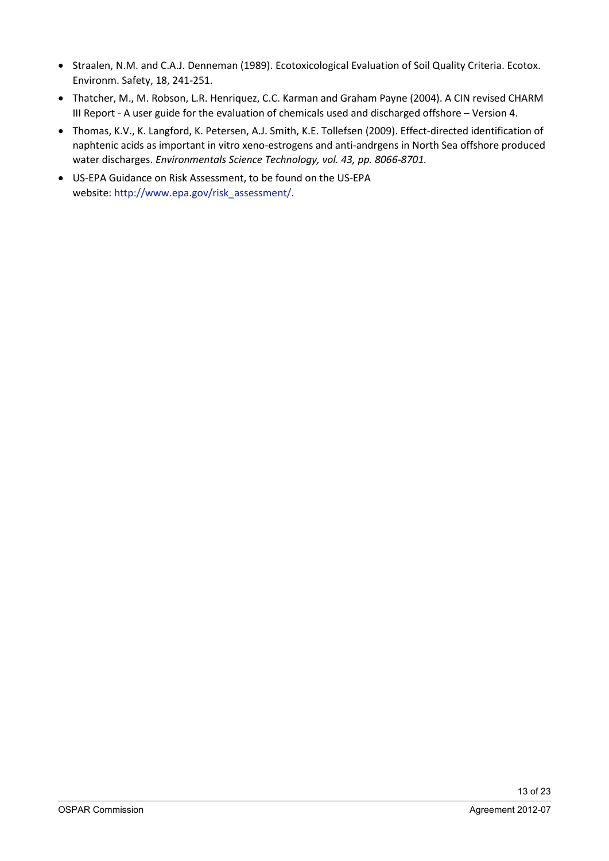- Straalen, N.M. and C.A.J. Denneman (1989). Ecotoxicological Evaluation of Soil Quality Criteria. Ecotox. Environm. Safety, 18, 241-251.
- Thatcher, M., M. Robson, L.R. Henriquez, C.C. Karman and Graham Payne (2004). A CIN revised CHARM III Report - A user guide for the evaluation of chemicals used and discharged offshore – Version 4.
- Thomas, K.V., K. Langford, K. Petersen, A.J. Smith, K.E. Tollefsen (2009). Effect-directed identification of naphtenic acids as important in vitro xeno-estrogens and anti-andrgens in North Sea offshore produced water discharges. *Environmentals Science Technology, vol. 43, pp. 8066-8701.*
- US-EPA Guidance on Risk Assessment, to be found on the US-EPA website: [http://www.epa.gov/risk\\_assessment/.](http://www.epa.gov/risk_assessment/)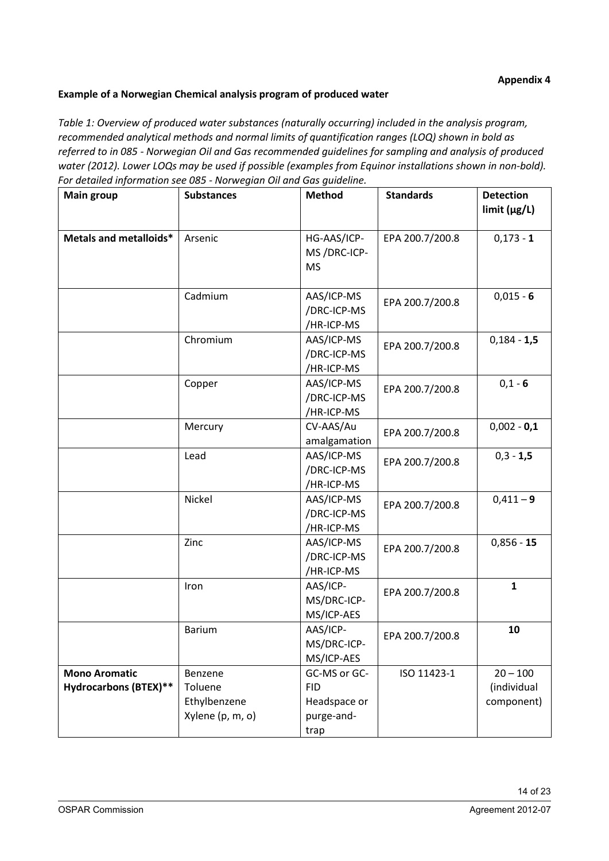### **Example of a Norwegian Chemical analysis program of produced water**

*Table 1: Overview of produced water substances (naturally occurring) included in the analysis program, recommended analytical methods and normal limits of quantification ranges (LOQ) shown in bold as referred to in 085 - Norwegian Oil and Gas recommended guidelines for sampling and analysis of produced water (2012). Lower LOQs may be used if possible (examples from Equinor installations shown in non-bold). For detailed information see 085 - Norwegian Oil and Gas guideline.*

| <b>Main group</b>                                    | <b>Substances</b>                                      | <b>Method</b>                                                    | <b>Standards</b> | <b>Detection</b><br>limit (µg/L)        |
|------------------------------------------------------|--------------------------------------------------------|------------------------------------------------------------------|------------------|-----------------------------------------|
|                                                      |                                                        |                                                                  |                  |                                         |
| Metals and metalloids*                               | Arsenic                                                | HG-AAS/ICP-<br>MS/DRC-ICP-<br><b>MS</b>                          | EPA 200.7/200.8  | $0,173 - 1$                             |
|                                                      | Cadmium                                                | AAS/ICP-MS<br>/DRC-ICP-MS<br>/HR-ICP-MS                          | EPA 200.7/200.8  | $0,015 - 6$                             |
|                                                      | Chromium                                               | AAS/ICP-MS<br>/DRC-ICP-MS<br>/HR-ICP-MS                          | EPA 200.7/200.8  | $0,184 - 1,5$                           |
|                                                      | Copper                                                 | AAS/ICP-MS<br>/DRC-ICP-MS<br>/HR-ICP-MS                          | EPA 200.7/200.8  | $0,1 - 6$                               |
|                                                      | Mercury                                                | CV-AAS/Au<br>amalgamation                                        | EPA 200.7/200.8  | $0,002 - 0,1$                           |
|                                                      | Lead                                                   | AAS/ICP-MS<br>/DRC-ICP-MS<br>/HR-ICP-MS                          | EPA 200.7/200.8  | $0,3 - 1,5$                             |
|                                                      | Nickel                                                 | AAS/ICP-MS<br>/DRC-ICP-MS<br>/HR-ICP-MS                          | EPA 200.7/200.8  | $0,411 - 9$                             |
|                                                      | Zinc                                                   | AAS/ICP-MS<br>/DRC-ICP-MS<br>/HR-ICP-MS                          | EPA 200.7/200.8  | $0,856 - 15$                            |
|                                                      | Iron                                                   | AAS/ICP-<br>MS/DRC-ICP-<br>MS/ICP-AES                            | EPA 200.7/200.8  | $\mathbf{1}$                            |
|                                                      | <b>Barium</b>                                          | AAS/ICP-<br>MS/DRC-ICP-<br>MS/ICP-AES                            | EPA 200.7/200.8  | 10                                      |
| <b>Mono Aromatic</b><br><b>Hydrocarbons (BTEX)**</b> | Benzene<br>Toluene<br>Ethylbenzene<br>Xylene (p, m, o) | GC-MS or GC-<br><b>FID</b><br>Headspace or<br>purge-and-<br>trap | ISO 11423-1      | $20 - 100$<br>(individual<br>component) |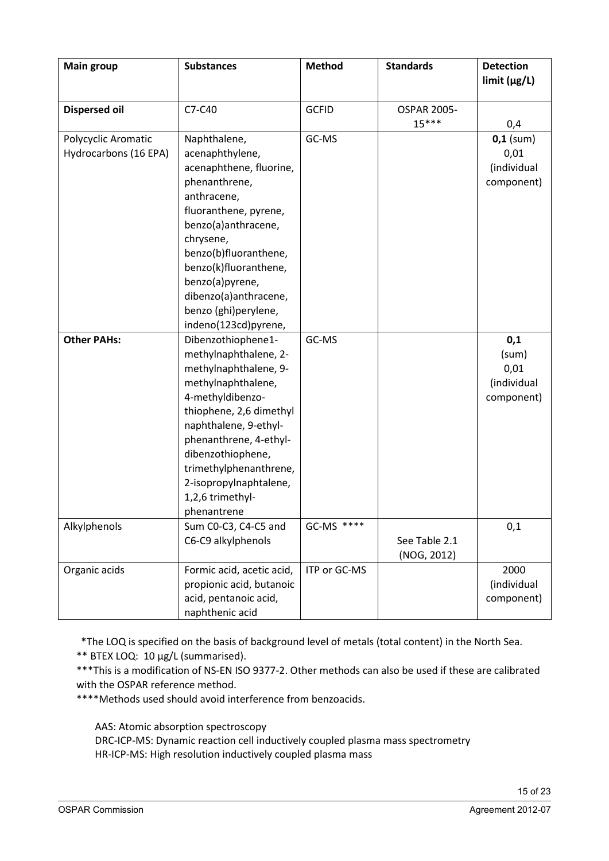| <b>Main group</b>                            | <b>Substances</b>                                                                                                                                                                                                                                                                                        | <b>Method</b> | <b>Standards</b>              | <b>Detection</b><br>limit (µg/L)                  |
|----------------------------------------------|----------------------------------------------------------------------------------------------------------------------------------------------------------------------------------------------------------------------------------------------------------------------------------------------------------|---------------|-------------------------------|---------------------------------------------------|
| <b>Dispersed oil</b>                         | C7-C40                                                                                                                                                                                                                                                                                                   | <b>GCFID</b>  | <b>OSPAR 2005-</b><br>$15***$ | 0,4                                               |
| Polycyclic Aromatic<br>Hydrocarbons (16 EPA) | Naphthalene,<br>acenaphthylene,<br>acenaphthene, fluorine,<br>phenanthrene,<br>anthracene,<br>fluoranthene, pyrene,<br>benzo(a)anthracene,<br>chrysene,<br>benzo(b)fluoranthene,<br>benzo(k)fluoranthene,<br>benzo(a)pyrene,<br>dibenzo(a)anthracene,<br>benzo (ghi)perylene,<br>indeno(123cd)pyrene,    | GC-MS         |                               | $0,1$ (sum)<br>0,01<br>(individual<br>component)  |
| <b>Other PAHs:</b>                           | Dibenzothiophene1-<br>methylnaphthalene, 2-<br>methylnaphthalene, 9-<br>methylnaphthalene,<br>4-methyldibenzo-<br>thiophene, 2,6 dimethyl<br>naphthalene, 9-ethyl-<br>phenanthrene, 4-ethyl-<br>dibenzothiophene,<br>trimethylphenanthrene,<br>2-isopropylnaphtalene,<br>1,2,6 trimethyl-<br>phenantrene | GC-MS         |                               | 0,1<br>(sum)<br>0,01<br>(individual<br>component) |
| Alkylphenols                                 | Sum C0-C3, C4-C5 and<br>C6-C9 alkylphenols                                                                                                                                                                                                                                                               | GC-MS ****    | See Table 2.1<br>(NOG, 2012)  | 0,1                                               |
| Organic acids                                | Formic acid, acetic acid,<br>propionic acid, butanoic<br>acid, pentanoic acid,<br>naphthenic acid                                                                                                                                                                                                        | ITP or GC-MS  |                               | 2000<br>(individual<br>component)                 |

\*The LOQ is specified on the basis of background level of metals (total content) in the North Sea.

\*\* BTEX LOQ: 10 µg/L (summarised).

\*\*\*This is a modification of NS-EN ISO 9377-2. Other methods can also be used if these are calibrated with the OSPAR reference method.

\*\*\*\*Methods used should avoid interference from benzoacids.

AAS: Atomic absorption spectroscopy

DRC-ICP-MS: Dynamic reaction cell inductively coupled plasma mass spectrometry HR-ICP-MS: High resolution inductively coupled plasma mass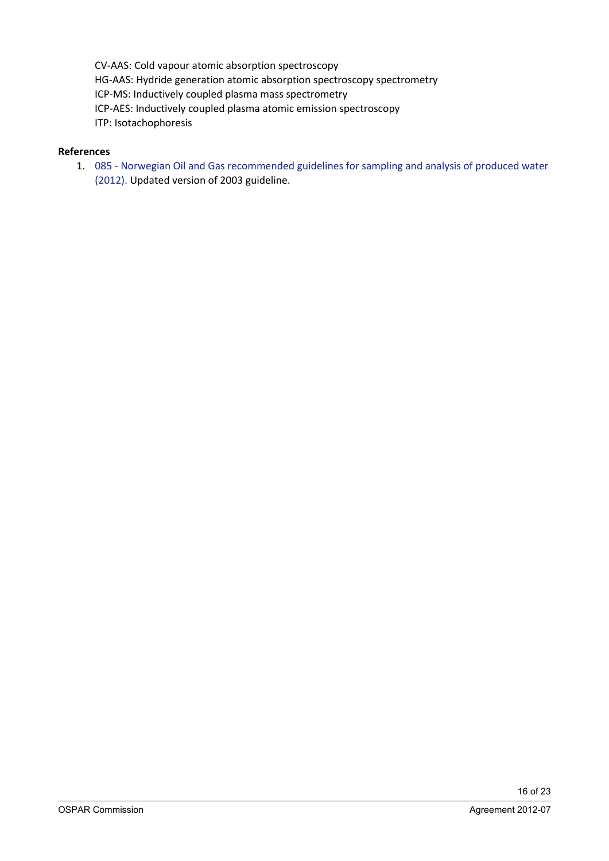CV-AAS: Cold vapour atomic absorption spectroscopy HG-AAS: Hydride generation atomic absorption spectroscopy spectrometry ICP-MS: Inductively coupled plasma mass spectrometry ICP-AES: Inductively coupled plasma atomic emission spectroscopy ITP: Isotachophoresis

### **References**

1. 085 - [Norwegian Oil and Gas recommended guidelines for sampling and analysis of produced water](https://www.norskoljeoggass.no/contentassets/799e400a40bf42dabc2dcf1f19d86dbc/085-norwegian-oil-and-gas-recommended-guidelines-for-samling-and-analysis-of-produced-water-rev-1-11.12.2012.pdf)  [\(2012\).](https://www.norskoljeoggass.no/contentassets/799e400a40bf42dabc2dcf1f19d86dbc/085-norwegian-oil-and-gas-recommended-guidelines-for-samling-and-analysis-of-produced-water-rev-1-11.12.2012.pdf) Updated version of 2003 guideline.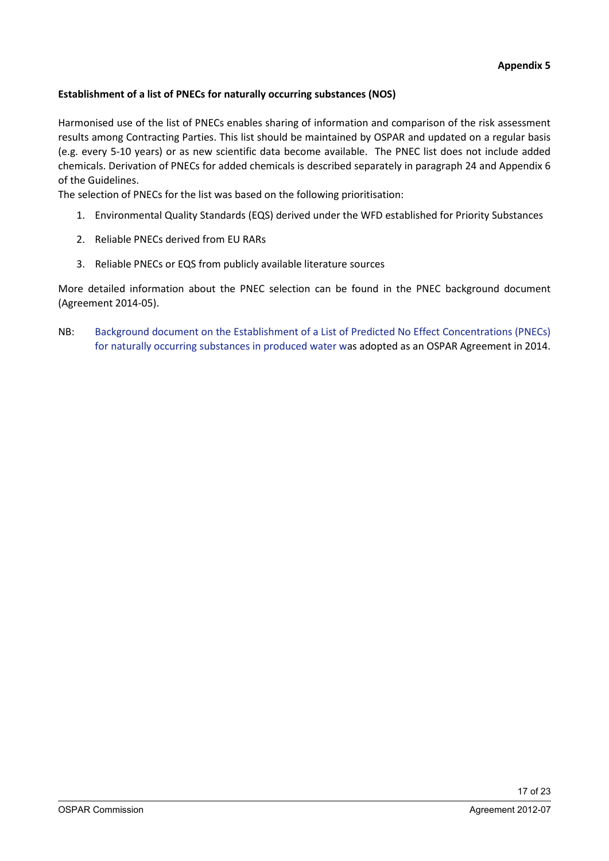## **Establishment of a list of PNECs for naturally occurring substances (NOS)**

Harmonised use of the list of PNECs enables sharing of information and comparison of the risk assessment results among Contracting Parties. This list should be maintained by OSPAR and updated on a regular basis (e.g. every 5-10 years) or as new scientific data become available. The PNEC list does not include added chemicals. Derivation of PNECs for added chemicals is described separately in paragraph 24 and Appendix 6 of the Guidelines.

The selection of PNECs for the list was based on the following prioritisation:

- 1. Environmental Quality Standards (EQS) derived under the WFD established for Priority Substances
- 2. Reliable PNECs derived from EU RARs
- 3. Reliable PNECs or EQS from publicly available literature sources

More detailed information about the PNEC selection can be found in the PNEC background document (Agreement 2014-05).

NB: [Background document on the Establishment of a List of Predicted No Effect Concentrations \(PNECs\)](https://www.ospar.org/documents?d=32999)  [for naturally occurring substances in produced water](https://www.ospar.org/documents?d=32999) was adopted as an OSPAR Agreement in 2014.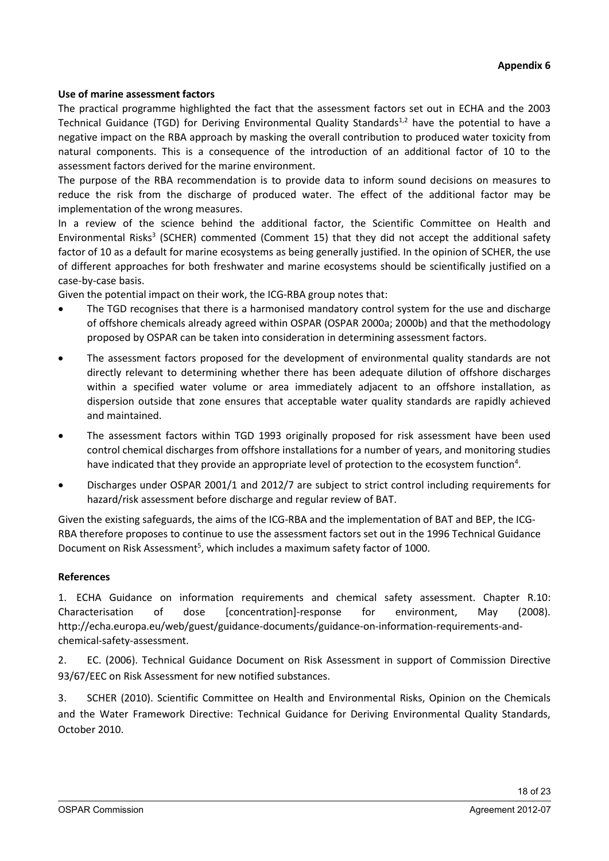#### **Use of marine assessment factors**

The practical programme highlighted the fact that the assessment factors set out in ECHA and the 2003 Technical Guidance (TGD) for Deriving Environmental Quality Standards<sup>1,2</sup> have the potential to have a negative impact on the RBA approach by masking the overall contribution to produced water toxicity from natural components. This is a consequence of the introduction of an additional factor of 10 to the assessment factors derived for the marine environment.

The purpose of the RBA recommendation is to provide data to inform sound decisions on measures to reduce the risk from the discharge of produced water. The effect of the additional factor may be implementation of the wrong measures.

In a review of the science behind the additional factor, the Scientific Committee on Health and Environmental Risks<sup>3</sup> (SCHER) commented (Comment 15) that they did not accept the additional safety factor of 10 as a default for marine ecosystems as being generally justified. In the opinion of SCHER, the use of different approaches for both freshwater and marine ecosystems should be scientifically justified on a case-by-case basis.

Given the potential impact on their work, the ICG-RBA group notes that:

- The TGD recognises that there is a harmonised mandatory control system for the use and discharge of offshore chemicals already agreed within OSPAR (OSPAR 2000a; 2000b) and that the methodology proposed by OSPAR can be taken into consideration in determining assessment factors.
- The assessment factors proposed for the development of environmental quality standards are not directly relevant to determining whether there has been adequate dilution of offshore discharges within a specified water volume or area immediately adjacent to an offshore installation, as dispersion outside that zone ensures that acceptable water quality standards are rapidly achieved and maintained.
- The assessment factors within TGD 1993 originally proposed for risk assessment have been used control chemical discharges from offshore installations for a number of years, and monitoring studies have indicated that they provide an appropriate level of protection to the ecosystem function<sup>4</sup>.
- Discharges under OSPAR 2001/1 and 2012/7 are subject to strict control including requirements for hazard/risk assessment before discharge and regular review of BAT.

Given the existing safeguards, the aims of the ICG-RBA and the implementation of BAT and BEP, the ICG-RBA therefore proposes to continue to use the assessment factors set out in the 1996 Technical Guidance Document on Risk Assessment<sup>5</sup>, which includes a maximum safety factor of 1000.

#### **References**

1. ECHA Guidance on information requirements and chemical safety assessment. Chapter R.10: Characterisation of dose [concentration]-response for environment, May (2008). http://echa.europa.eu/web/guest/guidance-documents/guidance-on-information-requirements-andchemical-safety-assessment.

2. EC. (2006). Technical Guidance Document on Risk Assessment in support of Commission Directive 93/67/EEC on Risk Assessment for new notified substances.

3. SCHER (2010). Scientific Committee on Health and Environmental Risks, Opinion on the Chemicals and the Water Framework Directive: Technical Guidance for Deriving Environmental Quality Standards, October 2010.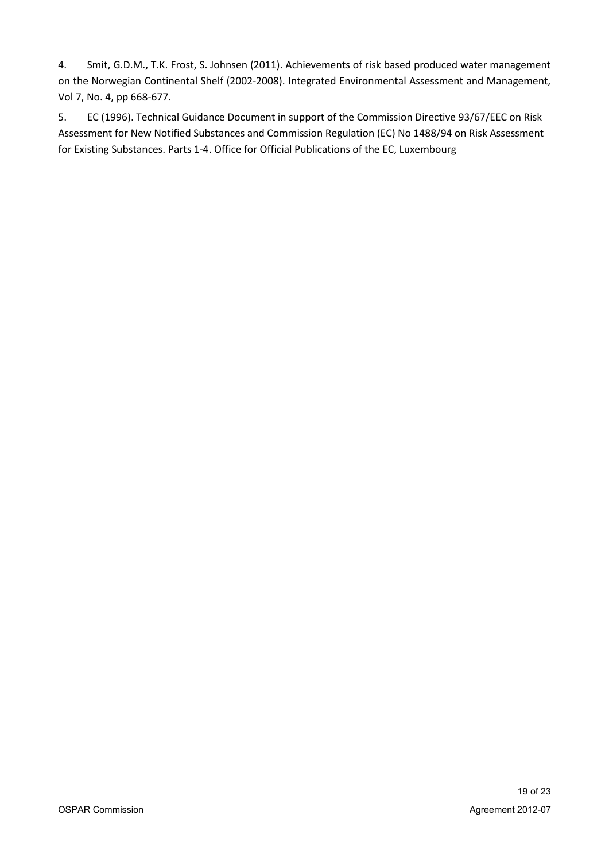4. Smit, G.D.M., T.K. Frost, S. Johnsen (2011). Achievements of risk based produced water management on the Norwegian Continental Shelf (2002-2008). Integrated Environmental Assessment and Management, Vol 7, No. 4, pp 668-677.

5. EC (1996). Technical Guidance Document in support of the Commission Directive 93/67/EEC on Risk Assessment for New Notified Substances and Commission Regulation (EC) No 1488/94 on Risk Assessment for Existing Substances. Parts 1-4. Office for Official Publications of the EC, Luxembourg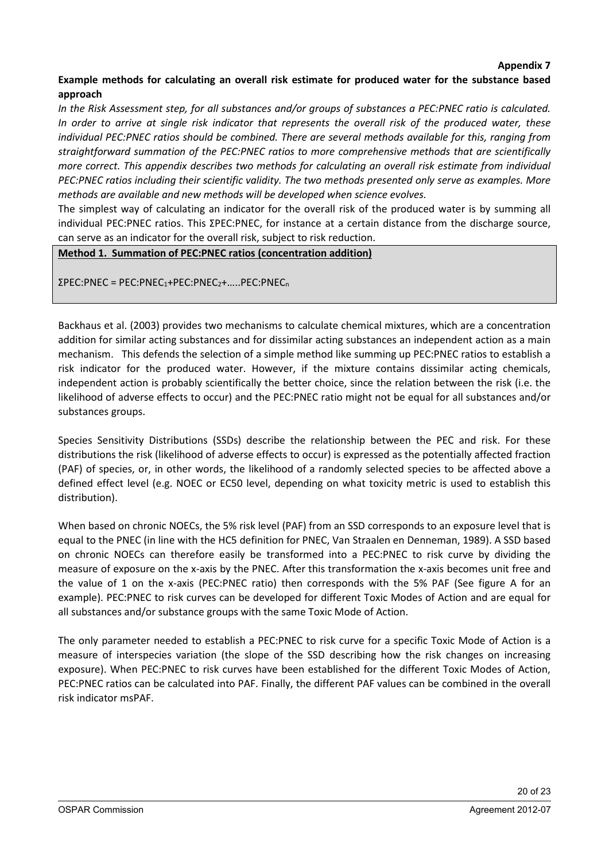#### **Appendix 7**

### **Example methods for calculating an overall risk estimate for produced water for the substance based approach**

*In the Risk Assessment step, for all substances and/or groups of substances a PEC:PNEC ratio is calculated. In order to arrive at single risk indicator that represents the overall risk of the produced water, these individual PEC:PNEC ratios should be combined. There are several methods available for this, ranging from straightforward summation of the PEC:PNEC ratios to more comprehensive methods that are scientifically more correct. This appendix describes two methods for calculating an overall risk estimate from individual PEC:PNEC ratios including their scientific validity. The two methods presented only serve as examples. More methods are available and new methods will be developed when science evolves.*

The simplest way of calculating an indicator for the overall risk of the produced water is by summing all individual PEC:PNEC ratios. This ΣPEC:PNEC, for instance at a certain distance from the discharge source, can serve as an indicator for the overall risk, subject to risk reduction.

**Method 1. Summation of PEC:PNEC ratios (concentration addition)**

 $\Sigma$ PEC:PNEC = PEC:PNEC<sub>1</sub>+PEC:PNEC<sub>2</sub>+.....PEC:PNEC<sub>n</sub>

Backhaus et al. (2003) provides two mechanisms to calculate chemical mixtures, which are a concentration addition for similar acting substances and for dissimilar acting substances an independent action as a main mechanism. This defends the selection of a simple method like summing up PEC:PNEC ratios to establish a risk indicator for the produced water. However, if the mixture contains dissimilar acting chemicals, independent action is probably scientifically the better choice, since the relation between the risk (i.e. the likelihood of adverse effects to occur) and the PEC:PNEC ratio might not be equal for all substances and/or substances groups.

Species Sensitivity Distributions (SSDs) describe the relationship between the PEC and risk. For these distributions the risk (likelihood of adverse effects to occur) is expressed as the potentially affected fraction (PAF) of species, or, in other words, the likelihood of a randomly selected species to be affected above a defined effect level (e.g. NOEC or EC50 level, depending on what toxicity metric is used to establish this distribution).

When based on chronic NOECs, the 5% risk level (PAF) from an SSD corresponds to an exposure level that is equal to the PNEC (in line with the HC5 definition for PNEC, Van Straalen en Denneman, 1989). A SSD based on chronic NOECs can therefore easily be transformed into a PEC:PNEC to risk curve by dividing the measure of exposure on the x-axis by the PNEC. After this transformation the x-axis becomes unit free and the value of 1 on the x-axis (PEC:PNEC ratio) then corresponds with the 5% PAF (See figure A for an example). PEC:PNEC to risk curves can be developed for different Toxic Modes of Action and are equal for all substances and/or substance groups with the same Toxic Mode of Action.

The only parameter needed to establish a PEC:PNEC to risk curve for a specific Toxic Mode of Action is a measure of interspecies variation (the slope of the SSD describing how the risk changes on increasing exposure). When PEC:PNEC to risk curves have been established for the different Toxic Modes of Action, PEC:PNEC ratios can be calculated into PAF. Finally, the different PAF values can be combined in the overall risk indicator msPAF.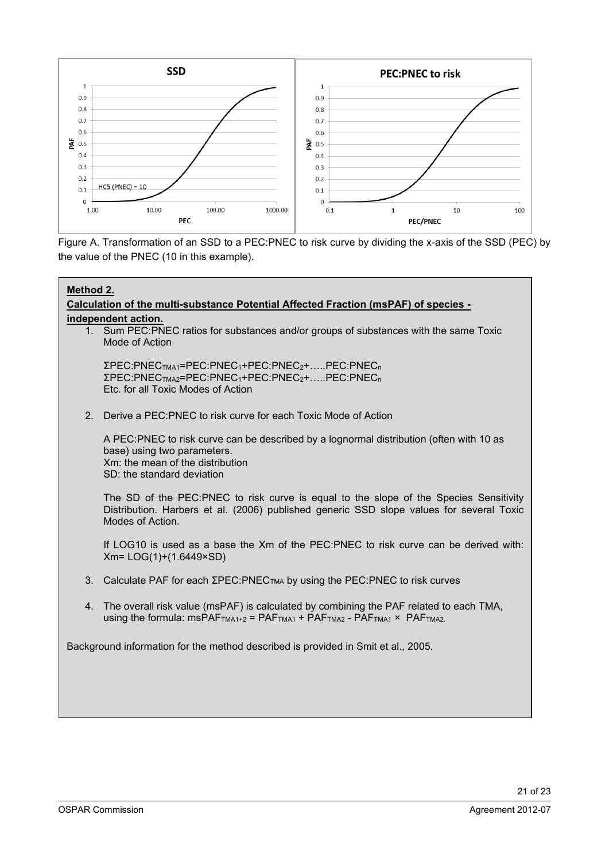

Figure A. Transformation of an SSD to a PEC:PNEC to risk curve by dividing the x-axis of the SSD (PEC) by the value of the PNEC (10 in this example).

| Method 2.                                                                           |                                                                                                                                                                                                                                        |  |  |
|-------------------------------------------------------------------------------------|----------------------------------------------------------------------------------------------------------------------------------------------------------------------------------------------------------------------------------------|--|--|
| Calculation of the multi-substance Potential Affected Fraction (msPAF) of species - |                                                                                                                                                                                                                                        |  |  |
|                                                                                     | independent action.<br>1. Sum PEC: PNEC ratios for substances and/or groups of substances with the same Toxic<br>Mode of Action                                                                                                        |  |  |
|                                                                                     | ΣΡΕC:PNEC <sub>TMA1</sub> =PEC:PNEC <sub>1</sub> +PEC:PNEC <sub>2</sub> +PEC:PNEC <sub>n</sub><br>ΣΡΕC:PNEC <sub>TMA2</sub> =PEC:PNEC <sub>1</sub> +PEC:PNEC <sub>2</sub> +PEC:PNEC <sub>n</sub><br>Etc. for all Toxic Modes of Action |  |  |
| 2 <sub>1</sub>                                                                      | Derive a PEC:PNEC to risk curve for each Toxic Mode of Action                                                                                                                                                                          |  |  |
|                                                                                     | A PEC:PNEC to risk curve can be described by a lognormal distribution (often with 10 as<br>base) using two parameters.<br>Xm: the mean of the distribution<br>SD: the standard deviation                                               |  |  |
|                                                                                     | The SD of the PEC: PNEC to risk curve is equal to the slope of the Species Sensitivity<br>Distribution. Harbers et al. (2006) published generic SSD slope values for several Toxic<br>Modes of Action.                                 |  |  |
|                                                                                     | If LOG10 is used as a base the Xm of the PEC:PNEC to risk curve can be derived with:<br>$Xm = LOG(1)+(1.6449 \times SD)$                                                                                                               |  |  |
|                                                                                     | 3. Calculate PAF for each ΣPEC: PNEC <sub>TMA</sub> by using the PEC: PNEC to risk curves                                                                                                                                              |  |  |
|                                                                                     | 4. The overall risk value (msPAF) is calculated by combining the PAF related to each TMA,<br>using the formula: $msPAFTMA1+2 = PAFTMA1 + PAFTMA2 - PAFTMA1 × PAFTMA2$ .                                                                |  |  |
|                                                                                     | Background information for the method described is provided in Smit et al., 2005.                                                                                                                                                      |  |  |
|                                                                                     |                                                                                                                                                                                                                                        |  |  |
|                                                                                     |                                                                                                                                                                                                                                        |  |  |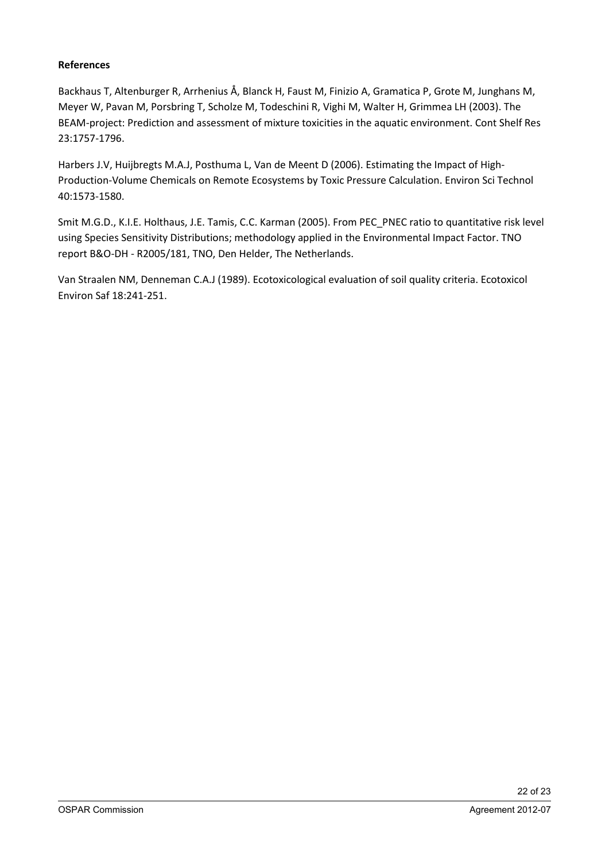## **References**

Backhaus T, Altenburger R, Arrhenius Å, Blanck H, Faust M, Finizio A, Gramatica P, Grote M, Junghans M, Meyer W, Pavan M, Porsbring T, Scholze M, Todeschini R, Vighi M, Walter H, Grimmea LH (2003). The BEAM-project: Prediction and assessment of mixture toxicities in the aquatic environment. Cont Shelf Res 23:1757-1796.

Harbers J.V, Huijbregts M.A.J, Posthuma L, Van de Meent D (2006). Estimating the Impact of High-Production-Volume Chemicals on Remote Ecosystems by Toxic Pressure Calculation. Environ Sci Technol 40:1573-1580.

Smit M.G.D., K.I.E. Holthaus, J.E. Tamis, C.C. Karman (2005). From PEC\_PNEC ratio to quantitative risk level using Species Sensitivity Distributions; methodology applied in the Environmental Impact Factor. TNO report B&O-DH - R2005/181, TNO, Den Helder, The Netherlands.

Van Straalen NM, Denneman C.A.J (1989). Ecotoxicological evaluation of soil quality criteria. Ecotoxicol Environ Saf 18:241-251.